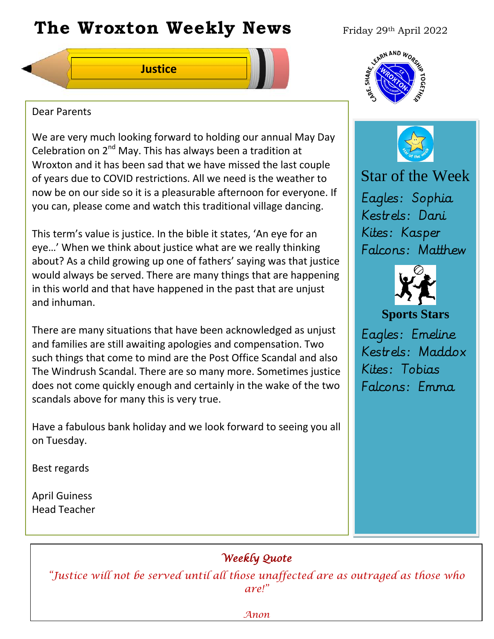# **The Wroxton Weekly News** Friday 29th April 2022



# Dear Parents

We are very much looking forward to holding our annual May Day Celebration on 2nd May. This has always been a tradition at Wroxton and it has been sad that we have missed the last couple of years due to COVID restrictions. All we need is the weather to now be on our side so it is a pleasurable afternoon for everyone. If you can, please come and watch this traditional village dancing.

This term's value is justice. In the bible it states, 'An eye for an eye…' When we think about justice what are we really thinking about? As a child growing up one of fathers' saying was that justice would always be served. There are many things that are happening in this world and that have happened in the past that are unjust and inhuman.

There are many situations that have been acknowledged as unjust and families are still awaiting apologies and compensation. Two such things that come to mind are the Post Office Scandal and also The Windrush Scandal. There are so many more. Sometimes justice does not come quickly enough and certainly in the wake of the two scandals above for many this is very true.

Have a fabulous bank holiday and we look forward to seeing you all on Tuesday.

**Fall Festival**

Best regards

April Guiness Head Teacher





Star of the Week Eagles: Sophia Kestrels: Dani Kites: Kasper Falcons: Matthew



# **Sports Stars**

Eagles: Emeline Kestrels: Maddox Kites: Tobias Falcons: Emma

# *Weekly Quote*

*"Justice will not be served until all those unaffected are as outraged as those who are!"* 

**PTA** 

**New York 1989**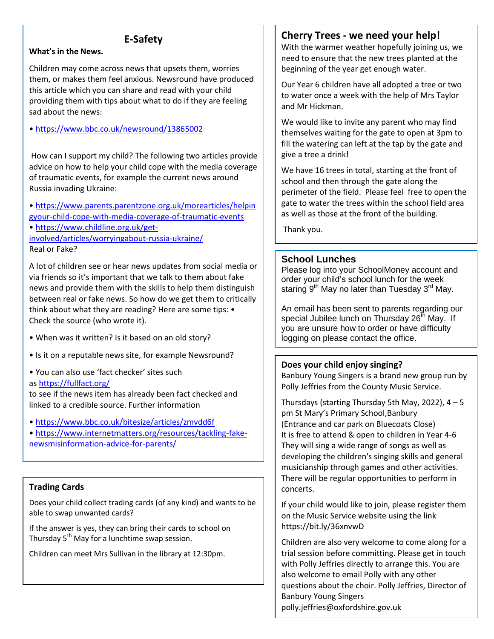# **E-Safety**

#### **What's in the News.**

Children may come across news that upsets them, worries them, or makes them feel anxious. Newsround have produced this article which you can share and read with your child providing them with tips about what to do if they are feeling sad about the news:

• <https://www.bbc.co.uk/newsround/13865002>

How can I support my child? The following two articles provide advice on how to help your child cope with the media coverage of traumatic events, for example the current news around Russia invading Ukraine:

• [https://www.parents.parentzone.org.uk/morearticles/helpin](https://www.parents.parentzone.org.uk/morearticles/helpingyour-child-cope-with-media-coverage-of-traumatic-events) [gyour-child-cope-with-media-coverage-of-traumatic-events](https://www.parents.parentzone.org.uk/morearticles/helpingyour-child-cope-with-media-coverage-of-traumatic-events)

• [https://www.childline.org.uk/get-](https://www.childline.org.uk/get-involved/articles/worryingabout-russia-ukraine/)

[involved/articles/worryingabout-russia-ukraine/](https://www.childline.org.uk/get-involved/articles/worryingabout-russia-ukraine/) Real or Fake?

A lot of children see or hear news updates from social media or via friends so it's important that we talk to them about fake news and provide them with the skills to help them distinguish between real or fake news. So how do we get them to critically think about what they are reading? Here are some tips: • Check the source (who wrote it).

- When was it written? Is it based on an old story?
- Is it on a reputable news site, for example Newsround?
- You can also use 'fact checker' sites such

as <https://fullfact.org/>

to see if the news item has already been fact checked and linked to a credible source. Further information

• <https://www.bbc.co.uk/bitesize/articles/zmvdd6f>

• [https://www.internetmatters.org/resources/tackling-fake](https://www.internetmatters.org/resources/tackling-fake-newsmisinformation-advice-for-parents/)[newsmisinformation-advice-for-parents/](https://www.internetmatters.org/resources/tackling-fake-newsmisinformation-advice-for-parents/)

# **Trading Cards**

Does your child collect trading cards (of any kind) and wants to be able to swap unwanted cards?

If the answer is yes, they can bring their cards to school on Thursday 5<sup>th</sup> May for a lunchtime swap session.

Children can meet Mrs Sullivan in the library at 12:30pm.

# **Cherry Trees - we need your help!**

With the warmer weather hopefully joining us, we need to ensure that the new trees planted at the beginning of the year get enough water.

Our Year 6 children have all adopted a tree or two to water once a week with the help of Mrs Taylor and Mr Hickman.

We would like to invite any parent who may find themselves waiting for the gate to open at 3pm to fill the watering can left at the tap by the gate and give a tree a drink!

We have 16 trees in total, starting at the front of school and then through the gate along the perimeter of the field. Please feel free to open the gate to water the trees within the school field area as well as those at the front of the building.

Thank you.

# **School Lunches**

Please log into your SchoolMoney account and order your child's school lunch for the week staring  $9^{th}$  May no later than Tuesday  $3^{rd}$  May.

An email has been sent to parents regarding our special Jubilee lunch on Thursday 26<sup>th</sup> May. If you are unsure how to order or have difficulty logging on please contact the office.

#### **Does your child enjoy singing?**

Banbury Young Singers is a brand new group run by Polly Jeffries from the County Music Service.

Thursdays (starting Thursday 5th May, 2022),  $4 - 5$ pm St Mary's Primary School,Banbury (Entrance and car park on Bluecoats Close) It is free to attend & open to children in Year 4-6 They will sing a wide range of songs as well as developing the children's singing skills and general musicianship through games and other activities. There will be regular opportunities to perform in concerts.

If your child would like to join, please register them on the Music Service website using the link https://bit.ly/36xnvwD

Children are also very welcome to come along for a trial session before committing. Please get in touch with Polly Jeffries directly to arrange this. You are also welcome to email Polly with any other questions about the choir. Polly Jeffries, Director of Banbury Young Singers

polly.jeffries@oxfordshire.gov.uk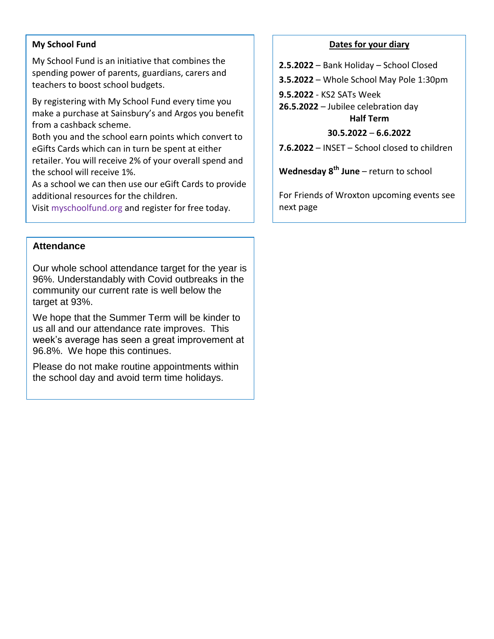#### **My School Fund**

My School Fund is an initiative that combines the spending power of parents, guardians, carers and teachers to boost school budgets.

By registering with My School Fund every time you make a purchase at Sainsbury's and Argos you benefit from a cashback scheme.

Both you and the school earn points which convert to eGifts Cards which can in turn be spent at either retailer. You will receive 2% of your overall spend and the school will receive 1%.

As a school we can then use our eGift Cards to provide additional resources for the children.

Visit myschoolfund.org and register for free today.

### **Attendance**

Our whole school attendance target for the year is 96%. Understandably with Covid outbreaks in the community our current rate is well below the target at 93%.

We hope that the Summer Term will be kinder to us all and our attendance rate improves. This week's average has seen a great improvement at 96.8%. We hope this continues.

Please do not make routine appointments within the school day and avoid term time holidays.

#### **Dates for your diary**

**2.5.2022** – Bank Holiday – School Closed

**3.5.2022** – Whole School May Pole 1:30pm

**9.5.2022** - KS2 SATs Week

**26.5.2022** – Jubilee celebration day **Half Term**

#### **30.5.2022** – **6.6.2022**

**7.6.2022** – INSET – School closed to children

**Wednesday 8th June** – return to school

For Friends of Wroxton upcoming events see next page